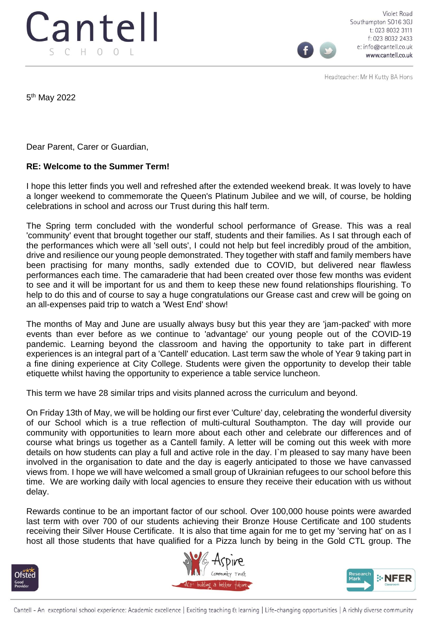

Violet Road Southampton SO16 3GJ t: 023 8032 3111 f: 023 8032 2433 e: info@cantell.co.uk www.cantell.co.uk

Headteacher: Mr H Kutty BA Hons

5<sup>th</sup> May 2022

Dear Parent, Carer or Guardian,

## **RE: Welcome to the Summer Term!**

I hope this letter finds you well and refreshed after the extended weekend break. It was lovely to have a longer weekend to commemorate the Queen's Platinum Jubilee and we will, of course, be holding celebrations in school and across our Trust during this half term.

The Spring term concluded with the wonderful school performance of Grease. This was a real 'community' event that brought together our staff, students and their families. As I sat through each of the performances which were all 'sell outs', I could not help but feel incredibly proud of the ambition, drive and resilience our young people demonstrated. They together with staff and family members have been practising for many months, sadly extended due to COVID, but delivered near flawless performances each time. The camaraderie that had been created over those few months was evident to see and it will be important for us and them to keep these new found relationships flourishing. To help to do this and of course to say a huge congratulations our Grease cast and crew will be going on an all-expenses paid trip to watch a 'West End' show!

The months of May and June are usually always busy but this year they are 'jam-packed' with more events than ever before as we continue to 'advantage' our young people out of the COVID-19 pandemic. Learning beyond the classroom and having the opportunity to take part in different experiences is an integral part of a 'Cantell' education. Last term saw the whole of Year 9 taking part in a fine dining experience at City College. Students were given the opportunity to develop their table etiquette whilst having the opportunity to experience a table service luncheon.

This term we have 28 similar trips and visits planned across the curriculum and beyond.

On Friday 13th of May, we will be holding our first ever 'Culture' day, celebrating the wonderful diversity of our School which is a true reflection of multi-cultural Southampton. The day will provide our community with opportunities to learn more about each other and celebrate our differences and of course what brings us together as a Cantell family. A letter will be coming out this week with more details on how students can play a full and active role in the day. I`m pleased to say many have been involved in the organisation to date and the day is eagerly anticipated to those we have canvassed views from. I hope we will have welcomed a small group of Ukrainian refugees to our school before this time. We are working daily with local agencies to ensure they receive their education with us without delay.

Rewards continue to be an important factor of our school. Over 100,000 house points were awarded last term with over 700 of our students achieving their Bronze House Certificate and 100 students receiving their Silver House Certificate. It is also that time again for me to get my 'serving hat' on as I host all those students that have qualified for a Pizza lunch by being in the Gold CTL group. The





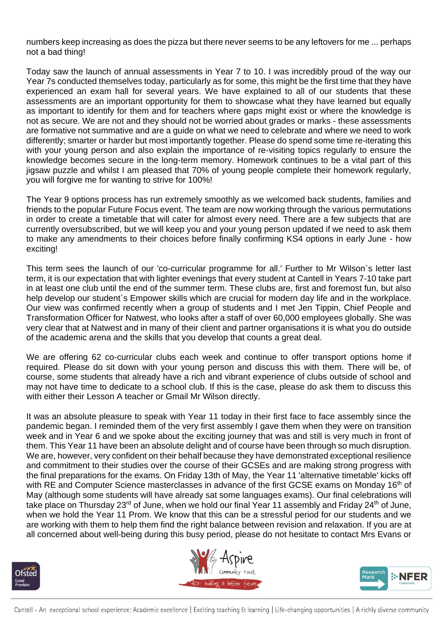numbers keep increasing as does the pizza but there never seems to be any leftovers for me ... perhaps not a bad thing!

Today saw the launch of annual assessments in Year 7 to 10. I was incredibly proud of the way our Year 7s conducted themselves today, particularly as for some, this might be the first time that they have experienced an exam hall for several years. We have explained to all of our students that these assessments are an important opportunity for them to showcase what they have learned but equally as important to identify for them and for teachers where gaps might exist or where the knowledge is not as secure. We are not and they should not be worried about grades or marks - these assessments are formative not summative and are a guide on what we need to celebrate and where we need to work differently; smarter or harder but most importantly together. Please do spend some time re-iterating this with your young person and also explain the importance of re-visiting topics regularly to ensure the knowledge becomes secure in the long-term memory. Homework continues to be a vital part of this jigsaw puzzle and whilst I am pleased that 70% of young people complete their homework regularly, you will forgive me for wanting to strive for 100%!

The Year 9 options process has run extremely smoothly as we welcomed back students, families and friends to the popular Future Focus event. The team are now working through the various permutations in order to create a timetable that will cater for almost every need. There are a few subjects that are currently oversubscribed, but we will keep you and your young person updated if we need to ask them to make any amendments to their choices before finally confirming KS4 options in early June - how exciting!

This term sees the launch of our 'co-curricular programme for all.' Further to Mr Wilson`s letter last term, it is our expectation that with lighter evenings that every student at Cantell in Years 7-10 take part in at least one club until the end of the summer term. These clubs are, first and foremost fun, but also help develop our student`s Empower skills which are crucial for modern day life and in the workplace. Our view was confirmed recently when a group of students and I met Jen Tippin, Chief People and Transformation Officer for Natwest, who looks after a staff of over 60,000 employees globally. She was very clear that at Natwest and in many of their client and partner organisations it is what you do outside of the academic arena and the skills that you develop that counts a great deal.

We are offering 62 co-curricular clubs each week and continue to offer transport options home if required. Please do sit down with your young person and discuss this with them. There will be, of course, some students that already have a rich and vibrant experience of clubs outside of school and may not have time to dedicate to a school club. If this is the case, please do ask them to discuss this with either their Lesson A teacher or Gmail Mr Wilson directly.

It was an absolute pleasure to speak with Year 11 today in their first face to face assembly since the pandemic began. I reminded them of the very first assembly I gave them when they were on transition week and in Year 6 and we spoke about the exciting journey that was and still is very much in front of them. This Year 11 have been an absolute delight and of course have been through so much disruption. We are, however, very confident on their behalf because they have demonstrated exceptional resilience and commitment to their studies over the course of their GCSEs and are making strong progress with the final preparations for the exams. On Friday 13th of May, the Year 11 'alternative timetable' kicks off with RE and Computer Science masterclasses in advance of the first GCSE exams on Monday 16<sup>th</sup> of May (although some students will have already sat some languages exams). Our final celebrations will take place on Thursday 23<sup>rd</sup> of June, when we hold our final Year 11 assembly and Friday 24<sup>th</sup> of June, when we hold the Year 11 Prom. We know that this can be a stressful period for our students and we are working with them to help them find the right balance between revision and relaxation. If you are at all concerned about well-being during this busy period, please do not hesitate to contact Mrs Evans or